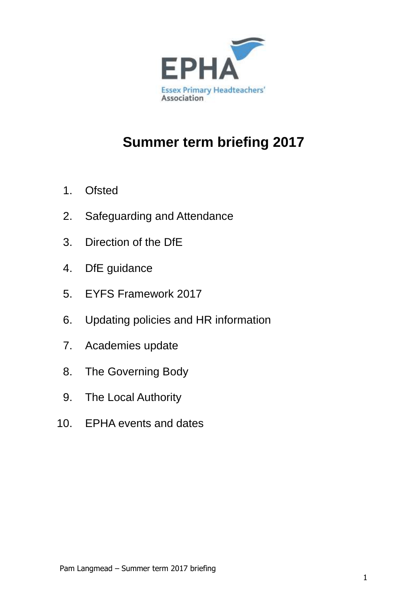

# **Summer term briefing 2017**

- 1. Ofsted
- 2. Safeguarding and Attendance
- 3. Direction of the DfE
- 4. DfE guidance
- 5. EYFS Framework 2017
- 6. Updating policies and HR information
- 7. Academies update
- 8. The Governing Body
- 9. The Local Authority
- 10. EPHA events and dates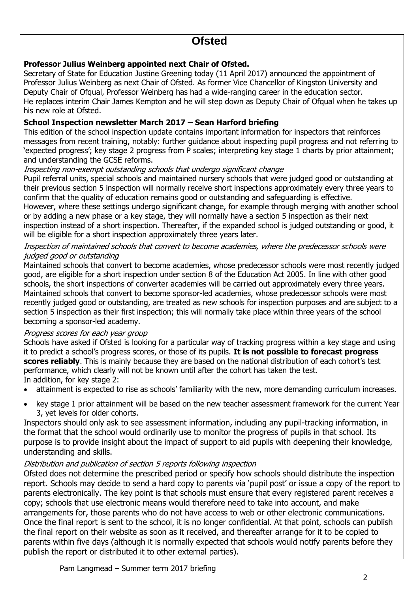# **Ofsted**

# **Professor Julius Weinberg appointed next Chair of Ofsted.**

Secretary of State for Education Justine Greening today (11 April 2017) announced the appointment of Professor Julius Weinberg as next Chair of Ofsted. As former Vice Chancellor of Kingston University and Deputy Chair of Ofqual, Professor Weinberg has had a wide-ranging career in the education sector. He replaces interim Chair James Kempton and he will step down as Deputy Chair of Ofqual when he takes up his new role at Ofsted.

# **School Inspection newsletter March 2017 – Sean Harford briefing**

This edition of the school inspection update contains important information for inspectors that reinforces messages from recent training, notably: further guidance about inspecting pupil progress and not referring to 'expected progress'; key stage 2 progress from P scales; interpreting key stage 1 charts by prior attainment; and understanding the GCSE reforms.

### Inspecting non-exempt outstanding schools that undergo significant change

Pupil referral units, special schools and maintained nursery schools that were judged good or outstanding at their previous section 5 inspection will normally receive short inspections approximately every three years to confirm that the quality of education remains good or outstanding and safeguarding is effective. However, where these settings undergo significant change, for example through merging with another school or by adding a new phase or a key stage, they will normally have a section 5 inspection as their next

inspection instead of a short inspection. Thereafter, if the expanded school is judged outstanding or good, it will be eligible for a short inspection approximately three years later.

# Inspection of maintained schools that convert to become academies, where the predecessor schools were judged good or outstanding

Maintained schools that convert to become academies, whose predecessor schools were most recently judged good, are eligible for a short inspection under section 8 of the Education Act 2005. In line with other good schools, the short inspections of converter academies will be carried out approximately every three years. Maintained schools that convert to become sponsor-led academies, whose predecessor schools were most recently judged good or outstanding, are treated as new schools for inspection purposes and are subject to a section 5 inspection as their first inspection; this will normally take place within three years of the school becoming a sponsor-led academy.

### Progress scores for each year group

Schools have asked if Ofsted is looking for a particular way of tracking progress within a key stage and using it to predict a school's progress scores, or those of its pupils. **It is not possible to forecast progress scores reliably**. This is mainly because they are based on the national distribution of each cohort's test performance, which clearly will not be known until after the cohort has taken the test. In addition, for key stage 2:

- attainment is expected to rise as schools' familiarity with the new, more demanding curriculum increases.
- key stage 1 prior attainment will be based on the new teacher assessment framework for the current Year 3, yet levels for older cohorts.

Inspectors should only ask to see assessment information, including any pupil-tracking information, in the format that the school would ordinarily use to monitor the progress of pupils in that school. Its purpose is to provide insight about the impact of support to aid pupils with deepening their knowledge, understanding and skills.

### Distribution and publication of section 5 reports following inspection

Ofsted does not determine the prescribed period or specify how schools should distribute the inspection report. Schools may decide to send a hard copy to parents via 'pupil post' or issue a copy of the report to parents electronically. The key point is that schools must ensure that every registered parent receives a copy; schools that use electronic means would therefore need to take into account, and make arrangements for, those parents who do not have access to web or other electronic communications. Once the final report is sent to the school, it is no longer confidential. At that point, schools can publish the final report on their website as soon as it received, and thereafter arrange for it to be copied to parents within five days (although it is normally expected that schools would notify parents before they publish the report or distributed it to other external parties).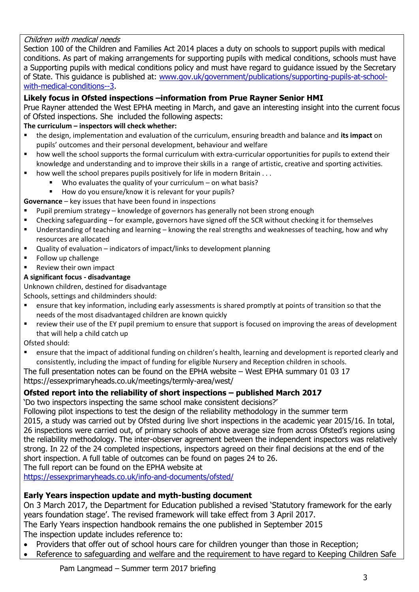# Children with medical needs

Section 100 of the Children and Families Act 2014 places a duty on schools to support pupils with medical conditions. As part of making arrangements for supporting pupils with medical conditions, schools must have a Supporting pupils with medical conditions policy and must have regard to guidance issued by the Secretary of State. This guidance is published at: [www.gov.uk/government/publications/supporting-pupils-at-school](http://www.gov.uk/government/publications/supporting-pupils-at-school-with-medical-conditions--3)[with-medical-conditions--3.](http://www.gov.uk/government/publications/supporting-pupils-at-school-with-medical-conditions--3)

# **Likely focus in Ofsted inspections –information from Prue Rayner Senior HMI**

Prue Rayner attended the West EPHA meeting in March, and gave an interesting insight into the current focus of Ofsted inspections. She included the following aspects:

# **The curriculum – inspectors will check whether:**

- the design, implementation and evaluation of the curriculum, ensuring breadth and balance and **its impact** on pupils' outcomes and their personal development, behaviour and welfare
- how well the school supports the formal curriculum with extra-curricular opportunities for pupils to extend their knowledge and understanding and to improve their skills in a range of artistic, creative and sporting activities.
- $\blacksquare$  how well the school prepares pupils positively for life in modern Britain . . .
	- Who evaluates the quality of your curriculum on what basis?
	- How do you ensure/know it is relevant for your pupils?

**Governance** – key issues that have been found in inspections

- **Pupil premium strategy knowledge of governors has generally not been strong enough**
- Checking safeguarding for example, governors have signed off the SCR without checking it for themselves
- Understanding of teaching and learning knowing the real strengths and weaknesses of teaching, how and why resources are allocated
- Quality of evaluation indicators of impact/links to development planning
- **Follow up challenge**
- Review their own impact

### **A significant focus - disadvantage**

Unknown children, destined for disadvantage

Schools, settings and childminders should:

- ensure that key information, including early assessments is shared promptly at points of transition so that the needs of the most disadvantaged children are known quickly
- review their use of the EY pupil premium to ensure that support is focused on improving the areas of development that will help a child catch up

Ofsted should:

 ensure that the impact of additional funding on children's health, learning and development is reported clearly and consistently, including the impact of funding for eligible Nursery and Reception children in schools.

The full presentation notes can be found on the EPHA website – West EPHA summary 01 03 17 https://essexprimaryheads.co.uk/meetings/termly-area/west/

### **Ofsted report into the reliability of short inspections – published March 2017**

'Do two inspectors inspecting the same school make consistent decisions?'

Following pilot inspections to test the design of the reliability methodology in the summer term

2015, a study was carried out by Ofsted during live short inspections in the academic year 2015/16. In total, 26 inspections were carried out, of primary schools of above average size from across Ofsted's regions using the reliability methodology. The inter-observer agreement between the independent inspectors was relatively strong. In 22 of the 24 completed inspections, inspectors agreed on their final decisions at the end of the short inspection. A full table of outcomes can be found on pages 24 to 26.

The full report can be found on the EPHA website at

<https://essexprimaryheads.co.uk/info-and-documents/ofsted/>

### **Early Years inspection update and myth-busting document**

On 3 March 2017, the Department for Education published a revised 'Statutory framework for the early years foundation stage'. The revised framework will take effect from 3 April 2017. The Early Years inspection handbook remains the one published in September 2015 The inspection update includes reference to:

- Providers that offer out of school hours care for children younger than those in Reception;
- Reference to safeguarding and welfare and the requirement to have regard to Keeping Children Safe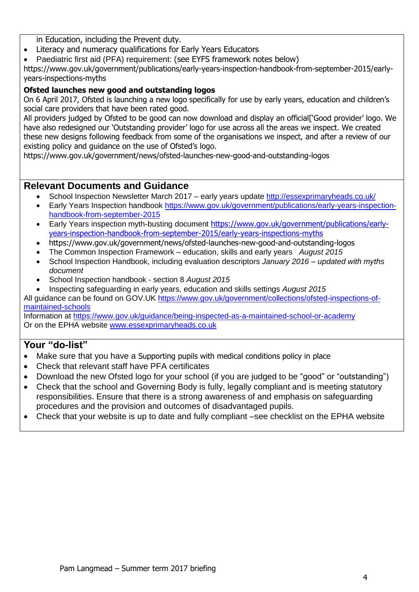in Education, including the Prevent duty.

- Literacy and numeracy qualifications for Early Years Educators
- Paediatric first aid (PFA) requirement: (see EYFS framework notes below)

https://www.gov.uk/government/publications/early-years-inspection-handbook-from-september-2015/earlyyears-inspections-myths

# **Ofsted launches new good and outstanding logos**

On 6 April 2017, Ofsted is launching a new logo specifically for use by early years, education and children's social care providers that have been rated good.

All providers judged by Ofsted to be good can now download and display an official['Good provider' logo. We have also redesigned our 'Outstanding provider' logo for use across all the areas we inspect. We created these new designs following feedback from some of the organisations we inspect, and after a review of our existing policy and guidance on the use of Ofsted's logo.

https://www.gov.uk/government/news/ofsted-launches-new-good-and-outstanding-logos

# **Relevant Documents and Guidance**

- School Inspection Newsletter March 2017 early years update<http://essexprimaryheads.co.uk/>
- Early Years Inspection handbook [https://www.gov.uk/government/publications/early-years-inspection](https://www.gov.uk/government/publications/early-years-inspection-handbook-from-september-2015)[handbook-from-september-2015](https://www.gov.uk/government/publications/early-years-inspection-handbook-from-september-2015)
- Early Years inspection myth-busting document [https://www.gov.uk/government/publications/early](https://www.gov.uk/government/publications/early-years-inspection-handbook-from-september-2015/early-years-inspections-myths)[years-inspection-handbook-from-september-2015/early-years-inspections-myths](https://www.gov.uk/government/publications/early-years-inspection-handbook-from-september-2015/early-years-inspections-myths)
- https://www.gov.uk/government/news/ofsted-launches-new-good-and-outstanding-logos
- The Common Inspection Framework education, skills and early years *August 2015*
- School Inspection Handbook, including evaluation descriptors *January 2016 – updated with myths document*
- School Inspection handbook section 8 *August 2015*
- Inspecting safeguarding in early years, education and skills settings *August 2015*

All guidance can be found on GOV.UK [https://www.gov.uk/government/collections/ofsted-inspections-of](https://www.gov.uk/government/collections/ofsted-inspections-of-maintained-schools)[maintained-schools](https://www.gov.uk/government/collections/ofsted-inspections-of-maintained-schools)

Information at<https://www.gov.uk/guidance/being-inspected-as-a-maintained-school-or-academy> Or on the EPHA website [www.essexprimaryheads.co.uk](http://www.essexprimaryheads.co.uk/)

- Make sure that you have a Supporting pupils with medical conditions policy in place
- Check that relevant staff have PFA certificates
- Download the new Ofsted logo for your school (if you are judged to be "good" or "outstanding")
- Check that the school and Governing Body is fully, legally compliant and is meeting statutory responsibilities. Ensure that there is a strong awareness of and emphasis on safeguarding procedures and the provision and outcomes of disadvantaged pupils.
- Check that your website is up to date and fully compliant –see checklist on the EPHA website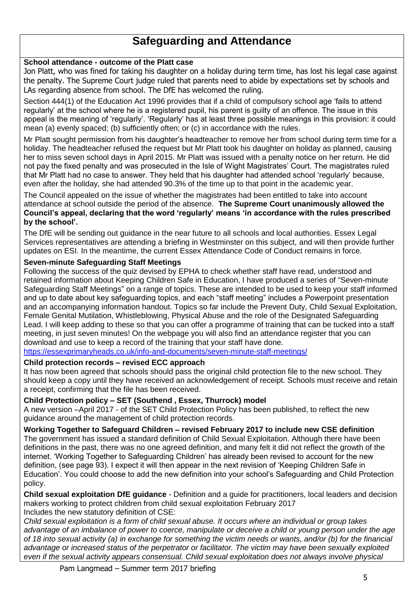# **Safeguarding and Attendance**

#### **School attendance - outcome of the Platt case**

Jon Platt, who was fined for taking his daughter on a holiday during term time, has lost his legal case against the penalty. The Supreme Court judge ruled that parents need to abide by expectations set by schools and LAs regarding absence from school. The DfE has welcomed the ruling.

Section 444(1) of the Education Act 1996 provides that if a child of compulsory school age 'fails to attend regularly' at the school where he is a registered pupil, his parent is guilty of an offence. The issue in this appeal is the meaning of 'regularly'. 'Regularly' has at least three possible meanings in this provision: it could mean (a) evenly spaced; (b) sufficiently often; or (c) in accordance with the rules.

Mr Platt sought permission from his daughter's headteacher to remove her from school during term time for a holiday. The headteacher refused the request but Mr Platt took his daughter on holiday as planned, causing her to miss seven school days in April 2015. Mr Platt was issued with a penalty notice on her return. He did not pay the fixed penalty and was prosecuted in the Isle of Wight Magistrates' Court. The magistrates ruled that Mr Platt had no case to answer. They held that his daughter had attended school 'regularly' because, even after the holiday, she had attended 90.3% of the time up to that point in the academic year.

The Council appealed on the issue of whether the magistrates had been entitled to take into account attendance at school outside the period of the absence. **The Supreme Court unanimously allowed the Council's appeal, declaring that the word 'regularly' means 'in accordance with the rules prescribed by the school'.**

The DfE will be sending out guidance in the near future to all schools and local authorities. Essex Legal Services representatives are attending a briefing in Westminster on this subject, and will then provide further updates on ESI. In the meantime, the current Essex Attendance Code of Conduct remains in force.

#### **Seven-minute Safeguarding Staff Meetings**

Following the success of the quiz devised by EPHA to check whether staff have read, understood and retained information about Keeping Children Safe in Education, I have produced a series of "Seven-minute Safeguarding Staff Meetings" on a range of topics. These are intended to be used to keep your staff informed and up to date about key safeguarding topics, and each "staff meeting" includes a Powerpoint presentation and an accompanying information handout. Topics so far include the Prevent Duty, Child Sexual Exploitation, Female Genital Mutilation, Whistleblowing, Physical Abuse and the role of the Designated Safeguarding Lead. I will keep adding to these so that you can offer a programme of training that can be tucked into a staff meeting, in just seven minutes! On the webpage you will also find an attendance register that you can download and use to keep a record of the training that your staff have done.

<https://essexprimaryheads.co.uk/info-and-documents/seven-minute-staff-meetings/>

### **Child protection records – revised ECC approach**

It has now been agreed that schools should pass the original child protection file to the new school. They should keep a copy until they have received an acknowledgement of receipt. Schools must receive and retain a receipt, confirming that the file has been received.

### **Child Protection policy – SET (Southend , Essex, Thurrock) model**

A new version –April 2017 - of the SET Child Protection Policy has been published, to reflect the new guidance around the management of child protection records.

### **Working Together to Safeguard Children – revised February 2017 to include new CSE definition**

The government has issued a standard definition of Child Sexual Exploitation. Although there have been definitions in the past, there was no one agreed definition, and many felt it did not reflect the growth of the internet. 'Working Together to Safeguarding Children' has already been revised to account for the new definition, (see page 93). I expect it will then appear in the next revision of 'Keeping Children Safe in Education'. You could choose to add the new definition into your school's Safeguarding and Child Protection policy.

**Child sexual exploitation DfE guidance** - Definition and a guide for practitioners, local leaders and decision makers working to protect children from child sexual exploitation February 2017 Includes the new statutory definition of CSE:

*Child sexual exploitation is a form of child sexual abuse. It occurs where an individual or group takes advantage of an imbalance of power to coerce, manipulate or deceive a child or young person under the age of 18 into sexual activity (a) in exchange for something the victim needs or wants, and/or (b) for the financial advantage or increased status of the perpetrator or facilitator. The victim may have been sexually exploited even if the sexual activity appears consensual. Child sexual exploitation does not always involve physical*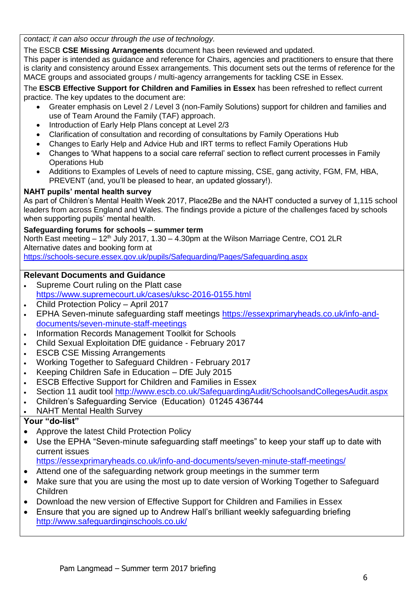*contact; it can also occur through the use of technology.*

The ESCB **CSE Missing Arrangements** document has been reviewed and updated.

This paper is intended as guidance and reference for Chairs, agencies and practitioners to ensure that there is clarity and consistency around Essex arrangements. This document sets out the terms of reference for the MACE groups and associated groups / multi-agency arrangements for tackling CSE in Essex.

The **ESCB Effective Support for Children and Families in Essex** has been refreshed to reflect current practice. The key updates to the document are:

- Greater emphasis on Level 2 / Level 3 (non-Family Solutions) support for children and families and use of Team Around the Family (TAF) approach.
- Introduction of Early Help Plans concept at Level 2/3
- Clarification of consultation and recording of consultations by Family Operations Hub
- Changes to Early Help and Advice Hub and IRT terms to reflect Family Operations Hub
- Changes to 'What happens to a social care referral' section to reflect current processes in Family Operations Hub
- Additions to Examples of Levels of need to capture missing, CSE, gang activity, FGM, FM, HBA, PREVENT (and, you'll be pleased to hear, an updated glossary!).

# **NAHT pupils' mental health survey**

As part of Children's Mental Health Week 2017, Place2Be and the NAHT conducted a survey of 1,115 school leaders from across England and Wales. The findings provide a picture of the challenges faced by schools when supporting pupils' mental health.

# **Safeguarding forums for schools – summer term**

North East meeting  $-12<sup>th</sup>$  July 2017, 1.30 – 4.30pm at the Wilson Marriage Centre, CO1 2LR Alternative dates and booking form at

<https://schools-secure.essex.gov.uk/pupils/Safeguarding/Pages/Safeguarding.aspx>

# **Relevant Documents and Guidance**

- Supreme Court ruling on the Platt case <https://www.supremecourt.uk/cases/uksc-2016-0155.html>
- Child Protection Policy April 2017
- EPHA Seven-minute safeguarding staff meetings [https://essexprimaryheads.co.uk/info-and](https://essexprimaryheads.co.uk/info-and-documents/seven-minute-staff-meetings)[documents/seven-minute-staff-meetings](https://essexprimaryheads.co.uk/info-and-documents/seven-minute-staff-meetings)
- Information Records Management Toolkit for Schools
- Child Sexual Exploitation DfE guidance February 2017
- ESCB CSE Missing Arrangements
- Working Together to Safeguard Children February 2017
- $\cdot$  Keeping Children Safe in Education DfE July 2015
- ESCB Effective Support for Children and Families in Essex
- Section 11 audit tool<http://www.escb.co.uk/SafeguardingAudit/SchoolsandCollegesAudit.aspx>
- Children's Safeguarding Service (Education) 01245 436744
- NAHT Mental Health Survey

# **Your "do-list"**

- Approve the latest Child Protection Policy
- Use the EPHA "Seven-minute safeguarding staff meetings" to keep your staff up to date with current issues

<https://essexprimaryheads.co.uk/info-and-documents/seven-minute-staff-meetings/>

- Attend one of the safeguarding network group meetings in the summer term
- Make sure that you are using the most up to date version of Working Together to Safeguard Children
- Download the new version of Effective Support for Children and Families in Essex
- Ensure that you are signed up to Andrew Hall's brilliant weekly safeguarding briefing <http://www.safeguardinginschools.co.uk/>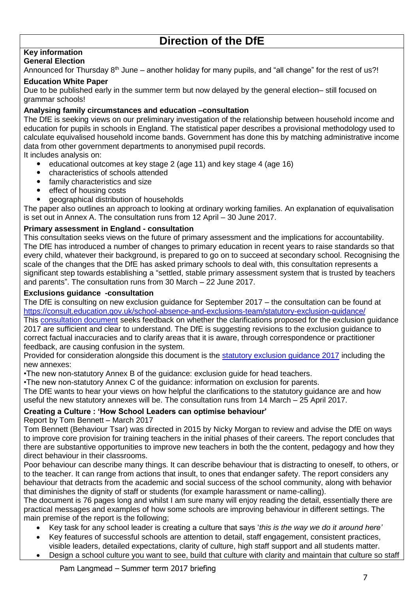# **Direction of the DfE**

#### **Key information General Election**

# Announced for Thursday  $8<sup>th</sup>$  June – another holiday for many pupils, and "all change" for the rest of us?!

#### **Education White Paper**

Due to be published early in the summer term but now delayed by the general election– still focused on grammar schools!

#### **Analysing family circumstances and education –consultation**

The DfE is seeking views on our preliminary investigation of the relationship between household income and education for pupils in schools in England. The statistical paper describes a provisional methodology used to calculate equivalised household income bands. Government has done this by matching administrative income data from other government departments to anonymised pupil records.

It includes analysis on:

- educational outcomes at key stage 2 (age 11) and key stage 4 (age 16)
- characteristics of schools attended
- family characteristics and size
- effect of housing costs
- geographical distribution of households

The paper also outlines an approach to looking at ordinary working families. An explanation of equivalisation is set out in Annex A. The consultation runs from 12 April – 30 June 2017.

#### **Primary assessment in England - consultation**

This consultation seeks views on the future of primary assessment and the implications for accountability. The DfE has introduced a number of changes to primary education in recent years to raise standards so that every child, whatever their background, is prepared to go on to succeed at secondary school. Recognising the scale of the changes that the DfE has asked primary schools to deal with, this consultation represents a significant step towards establishing a "settled, stable primary assessment system that is trusted by teachers and parents". The consultation runs from 30 March – 22 June 2017.

#### **Exclusions guidance -consultation**

The DfE is consulting on new exclusion guidance for September 2017 – the consultation can be found at <https://consult.education.gov.uk/school-absence-and-exclusions-team/statutory-exclusion-guidance/>

This [consultation document](http://essexprimaryheads.co.uk/files/exclusion-guidance-2017-consultation-document.pdf) seeks feedback on whether the clarifications proposed for the exclusion guidance 2017 are sufficient and clear to understand. The DfE is suggesting revisions to the exclusion guidance to correct factual inaccuracies and to clarify areas that it is aware, through correspondence or practitioner feedback, are causing confusion in the system.

Provided for consideration alongside this document is the [statutory exclusion guidance 2017](http://essexprimaryheads.co.uk/files/draft-statutory-guidance-2017-exclusions-consultation.pdf) including the new annexes:

•The new non-statutory Annex B of the guidance: exclusion guide for head teachers.

•The new non-statutory Annex C of the guidance: information on exclusion for parents.

The DfE wants to hear your views on how helpful the clarifications to the statutory guidance are and how useful the new statutory annexes will be. The consultation runs from 14 March – 25 April 2017.

### **Creating a Culture : 'How School Leaders can optimise behaviour'**

Report by Tom Bennett – March 2017

Tom Bennett (Behaviour Tsar) was directed in 2015 by Nicky Morgan to review and advise the DfE on ways to improve core provision for training teachers in the initial phases of their careers. The report concludes that there are substantive opportunities to improve new teachers in both the the content, pedagogy and how they direct behaviour in their classrooms.

Poor behaviour can describe many things. It can describe behaviour that is distracting to oneself, to others, or to the teacher. It can range from actions that insult, to ones that endanger safety. The report considers any behaviour that detracts from the academic and social success of the school community, along with behavior that diminishes the dignity of staff or students (for example harassment or name-calling).

The document is 76 pages long and whilst I am sure many will enjoy reading the detail, essentially there are practical messages and examples of how some schools are improving behaviour in different settings. The main premise of the report is the following;

- Key task for any school leader is creating a culture that says '*this is the way we do it around here'*
- Key features of successful schools are attention to detail, staff engagement, consistent practices,
- visible leaders, detailed expectations, clarity of culture, high staff support and all students matter.
- Design a school culture you want to see, build that culture with clarity and maintain that culture so staff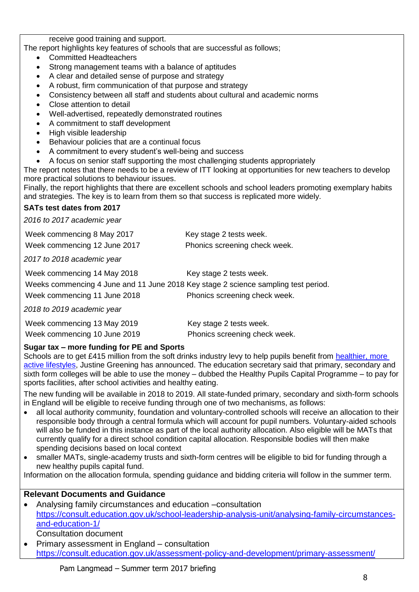receive good training and support.

The report highlights key features of schools that are successful as follows;

- Committed Headteachers
- Strong management teams with a balance of aptitudes
- A clear and detailed sense of purpose and strategy
- A robust, firm communication of that purpose and strategy
- Consistency between all staff and students about cultural and academic norms
- Close attention to detail
- Well-advertised, repeatedly demonstrated routines
- A commitment to staff development
- High visible leadership
- Behaviour policies that are a continual focus
- A commitment to every student's well-being and success
- A focus on senior staff supporting the most challenging students appropriately

The report notes that there needs to be a review of ITT looking at opportunities for new teachers to develop more practical solutions to behaviour issues.

Finally, the report highlights that there are excellent schools and school leaders promoting exemplary habits and strategies. The key is to learn from them so that success is replicated more widely.

### **SATs test dates from 2017**

*2016 to 2017 academic year*

| Week commencing 8 May 2017                                                                                                                        | Key stage 2 tests week.                                  |
|---------------------------------------------------------------------------------------------------------------------------------------------------|----------------------------------------------------------|
| Week commencing 12 June 2017                                                                                                                      | Phonics screening check week.                            |
| 2017 to 2018 academic year                                                                                                                        |                                                          |
| Week commencing 14 May 2018<br>Weeks commencing 4 June and 11 June 2018 Key stage 2 science sampling test period.<br>Week commencing 11 June 2018 | Key stage 2 tests week.<br>Phonics screening check week. |
| 2018 to 2019 academic year                                                                                                                        |                                                          |

| Week commencing 13 May 2019  | Key stage 2 tests week.       |
|------------------------------|-------------------------------|
| Week commencing 10 June 2019 | Phonics screening check week. |

### **Sugar tax – more funding for PE and Sports**

Schools are to get £415 million from the soft drinks industry levy to help pupils benefit from healthier, more [active lifestyles,](https://www.tes.com/news/tes-magazine/tes-magazine/how-cut-obesity-down-size-schools) Justine Greening has announced. The education secretary said that primary, secondary and sixth form colleges will be able to use the money – dubbed the Healthy Pupils Capital Programme – to pay for sports facilities, after school activities and healthy eating.

The new funding will be available in 2018 to 2019. All state-funded primary, secondary and sixth-form schools in England will be eligible to receive funding through one of two mechanisms, as follows:

- all local authority community, foundation and voluntary-controlled schools will receive an allocation to their responsible body through a central formula which will account for pupil numbers. Voluntary-aided schools will also be funded in this instance as part of the local authority allocation. Also eligible will be MATs that currently qualify for a direct school condition capital allocation. Responsible bodies will then make spending decisions based on local context
- smaller MATs, single-academy trusts and sixth-form centres will be eligible to bid for funding through a new healthy pupils capital fund.

Information on the allocation formula, spending guidance and bidding criteria will follow in the summer term.

### **Relevant Documents and Guidance**

- Analysing family circumstances and education –consultation [https://consult.education.gov.uk/school-leadership-analysis-unit/analysing-family-circumstances](https://consult.education.gov.uk/school-leadership-analysis-unit/analysing-family-circumstances-and-education-1/)[and-education-1/](https://consult.education.gov.uk/school-leadership-analysis-unit/analysing-family-circumstances-and-education-1/) Consultation document
- Primary assessment in England consultation <https://consult.education.gov.uk/assessment-policy-and-development/primary-assessment/>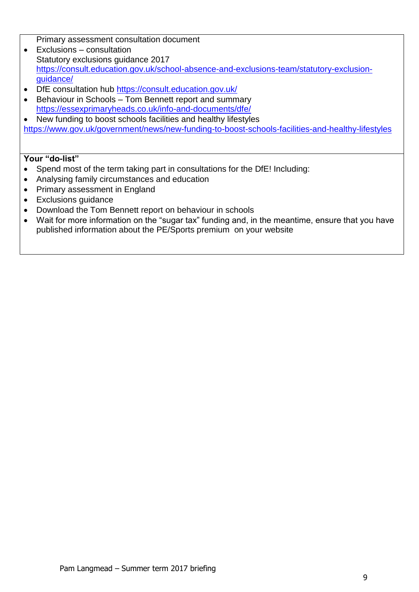Primary assessment consultation document

- Exclusions consultation Statutory exclusions guidance 2017 [https://consult.education.gov.uk/school-absence-and-exclusions-team/statutory-exclusion](https://consult.education.gov.uk/school-absence-and-exclusions-team/statutory-exclusion-guidance/)[guidance/](https://consult.education.gov.uk/school-absence-and-exclusions-team/statutory-exclusion-guidance/)
- DfE consultation hub<https://consult.education.gov.uk/>
- Behaviour in Schools Tom Bennett report and summary <https://essexprimaryheads.co.uk/info-and-documents/dfe/>

 New funding to boost schools facilities and healthy lifestyles <https://www.gov.uk/government/news/new-funding-to-boost-schools-facilities-and-healthy-lifestyles>

- Spend most of the term taking part in consultations for the DfE! Including:
- Analysing family circumstances and education
- Primary assessment in England
- Exclusions guidance
- Download the Tom Bennett report on behaviour in schools
- Wait for more information on the "sugar tax" funding and, in the meantime, ensure that you have published information about the PE/Sports premium on your website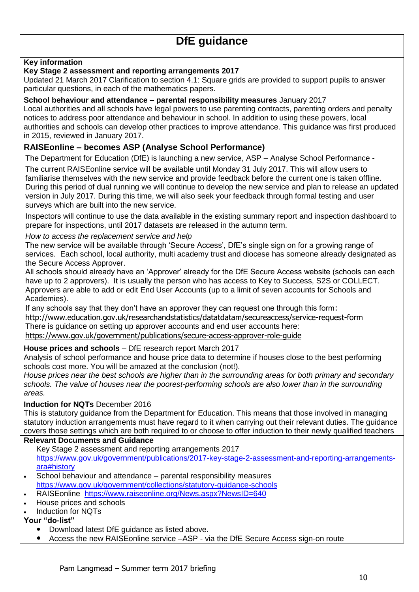### **Key information**

#### **Key Stage 2 assessment and reporting arrangements 2017**

Updated 21 March 2017 Clarification to section 4.1: Square grids are provided to support pupils to answer particular questions, in each of the mathematics papers.

#### **School behaviour and attendance – parental responsibility measures** January 2017

Local authorities and all schools have legal powers to use parenting contracts, parenting orders and penalty notices to address poor attendance and behaviour in school. In addition to using these powers, local authorities and schools can develop other practices to improve attendance. This guidance was first produced in 2015, reviewed in January 2017.

# **RAISEonline – becomes ASP (Analyse School Performance)**

The Department for Education (DfE) is launching a new service, ASP – Analyse School Performance -

The current RAISEonline service will be available until Monday 31 July 2017. This will allow users to familiarise themselves with the new service and provide feedback before the current one is taken offline. During this period of dual running we will continue to develop the new service and plan to release an updated version in July 2017. During this time, we will also seek your feedback through formal testing and user surveys which are built into the new service.

Inspectors will continue to use the data available in the existing summary report and inspection dashboard to prepare for inspections, until 2017 datasets are released in the autumn term.

*How to access the replacement service and help* 

The new service will be available through 'Secure Access', DfE's single sign on for a growing range of services. Each school, local authority, multi academy trust and diocese has someone already designated as the Secure Access Approver.

All schools should already have an 'Approver' already for the DfE Secure Access website (schools can each have up to 2 approvers). It is usually the person who has access to Key to Success, S2S or COLLECT. Approvers are able to add or edit End User Accounts (up to a limit of seven accounts for Schools and Academies).

If any schools say that they don't have an approver they can request one through this form: <http://www.education.gov.uk/researchandstatistics/datatdatam/secureaccess/service-request-form> There is guidance on setting up approver accounts and end user accounts here:

<https://www.gov.uk/government/publications/secure-access-approver-role-guide>

### **House prices and schools** – DfE research report March 2017

Analysis of school performance and house price data to determine if houses close to the best performing schools cost more. You will be amazed at the conclusion (not!).

*House prices near the best schools are higher than in the surrounding areas for both primary and secondary schools. The value of houses near the poorest-performing schools are also lower than in the surrounding areas.* 

### **Induction for NQTs** December 2016

This is statutory guidance from the Department for Education. This means that those involved in managing statutory induction arrangements must have regard to it when carrying out their relevant duties. The guidance covers those settings which are both required to or choose to offer induction to their newly qualified teachers

#### **Relevant Documents and Guidance**

Key Stage 2 assessment and reporting arrangements 2017 [https://www.gov.uk/government/publications/2017-key-stage-2-assessment-and-reporting-arrangements](https://www.gov.uk/government/publications/2017-key-stage-2-assessment-and-reporting-arrangements-ara#history)[ara#history](https://www.gov.uk/government/publications/2017-key-stage-2-assessment-and-reporting-arrangements-ara#history)

- School behaviour and attendance parental responsibility measures <https://www.gov.uk/government/collections/statutory-guidance-schools>
- RAISEonline <https://www.raiseonline.org/News.aspx?NewsID=640>
- House prices and schools
- Induction for NQTs

- Download latest DfE guidance as listed above.
- Access the new RAISEonline service –ASP via the DfE Secure Access sign-on route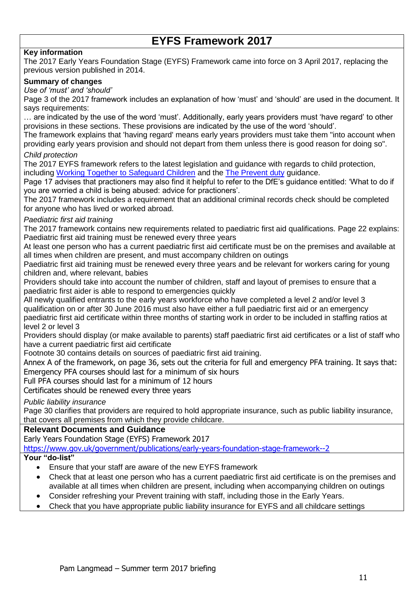# **EYFS Framework 2017**

# **Key information**

The 2017 Early Years Foundation Stage (EYFS) Framework came into force on 3 April 2017, replacing the previous version published in 2014.

#### **Summary of changes**

### *Use of 'must' and 'should'*

Page 3 of the 2017 framework includes an explanation of how 'must' and 'should' are used in the document. It says requirements:

… are indicated by the use of the word 'must'. Additionally, early years providers must 'have regard' to other provisions in these sections. These provisions are indicated by the use of the word 'should'.

The framework explains that 'having regard' means early years providers must take them "into account when providing early years provision and should not depart from them unless there is good reason for doing so".

#### *Child protection*

The 2017 EYFS framework refers to the latest legislation and guidance with regards to child protection, including [Working Together to Safeguard Children](https://schoolleaders.thekeysupport.com/pupils-and-parents/safeguarding/managing-safeguarding/2018working-together-to-safeguard-children2019-a-summary/?marker=content-body) and the [The Prevent duty](https://schoolleaders.thekeysupport.com/pupils-and-parents/safeguarding/child-protection/the-prevent-strategy-action-in-schools/?marker=content-body) guidance.

Page 17 advises that practioners may also find it helpful to refer to the DfE's guidance entitled: 'What to do if you are worried a child is being abused: advice for practioners'.

The 2017 framework includes a requirement that an additional criminal records check should be completed for anyone who has lived or worked abroad.

#### *Paediatric first aid training*

The 2017 framework contains new requirements related to paediatric first aid qualifications. Page 22 explains: Paediatric first aid training must be renewed every three years

At least one person who has a current paediatric first aid certificate must be on the premises and available at all times when children are present, and must accompany children on outings

Paediatric first aid training must be renewed every three years and be relevant for workers caring for young children and, where relevant, babies

Providers should take into account the number of children, staff and layout of premises to ensure that a paediatric first aider is able to respond to emergencies quickly

All newly qualified entrants to the early years workforce who have completed a level 2 and/or level 3 qualification on or after 30 June 2016 must also have either a full paediatric first aid or an emergency paediatric first aid certificate within three months of starting work in order to be included in staffing ratios at level 2 or level 3

Providers should display (or make available to parents) staff paediatric first aid certificates or a list of staff who have a current paediatric first aid certificate

Footnote 30 contains details on sources of paediatric first aid training.

Annex A of the framework, on page 36, sets out the criteria for full and emergency PFA training. It says that: Emergency PFA courses should last for a minimum of six hours

Full PFA courses should last for a minimum of 12 hours

Certificates should be renewed every three years

*Public liability insurance*

Page 30 clarifies that providers are required to hold appropriate insurance, such as public liability insurance, that covers all premises from which they provide childcare.

#### **Relevant Documents and Guidance**

Early Years Foundation Stage (EYFS) Framework 2017

<https://www.gov.uk/government/publications/early-years-foundation-stage-framework--2>

- Ensure that your staff are aware of the new EYFS framework
- Check that at least one person who has a current paediatric first aid certificate is on the premises and available at all times when children are present, including when accompanying children on outings
- Consider refreshing your Prevent training with staff, including those in the Early Years.
- Check that you have appropriate public liability insurance for EYFS and all childcare settings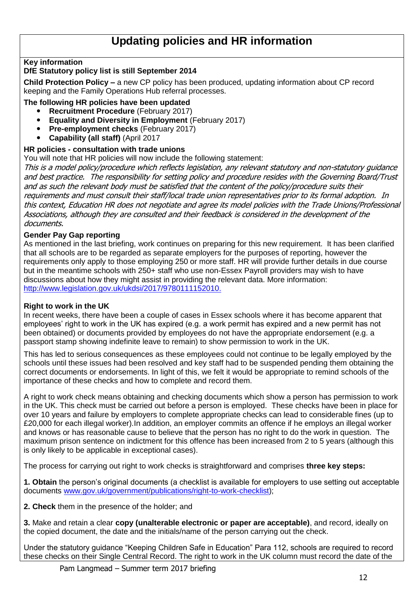# **Updating policies and HR information**

# **Key information**

### **DfE Statutory policy list is still September 2014**

**Child Protection Policy –** a new CP policy has been produced, updating information about CP record keeping and the Family Operations Hub referral processes.

#### **The following HR policies have been updated**

- **Recruitment Procedure** (February 2017)
- **Equality and Diversity in Employment** (February 2017)
- **Pre-employment checks** (February 2017)
- **Capability (all staff)** (April 2017

#### **HR policies - consultation with trade unions**

You will note that HR policies will now include the following statement:

This is a model policy/procedure which reflects legislation, any relevant statutory and non-statutory guidance and best practice. The responsibility for setting policy and procedure resides with the Governing Board/Trust and as such the relevant body must be satisfied that the content of the policy/procedure suits their requirements and must consult their staff/local trade union representatives prior to its formal adoption. In this context, Education HR does not negotiate and agree its model policies with the Trade Unions/Professional Associations, although they are consulted and their feedback is considered in the development of the documents.

#### **Gender Pay Gap reporting**

As mentioned in the last briefing, work continues on preparing for this new requirement. It has been clarified that all schools are to be regarded as separate employers for the purposes of reporting, however the requirements only apply to those employing 250 or more staff. HR will provide further details in due course but in the meantime schools with 250+ staff who use non-Essex Payroll providers may wish to have discussions about how they might assist in providing the relevant data. More information: [http://www.legislation.gov.uk/ukdsi/2017/9780111152010.](http://www.legislation.gov.uk/ukdsi/2017/9780111152010)

#### **Right to work in the UK**

In recent weeks, there have been a couple of cases in Essex schools where it has become apparent that employees' right to work in the UK has expired (e.g. a work permit has expired and a new permit has not been obtained) or documents provided by employees do not have the appropriate endorsement (e.g. a passport stamp showing indefinite leave to remain) to show permission to work in the UK.

This has led to serious consequences as these employees could not continue to be legally employed by the schools until these issues had been resolved and key staff had to be suspended pending them obtaining the correct documents or endorsements. In light of this, we felt it would be appropriate to remind schools of the importance of these checks and how to complete and record them.

A right to work check means obtaining and checking documents which show a person has permission to work in the UK. This check must be carried out before a person is employed. These checks have been in place for over 10 years and failure by employers to complete appropriate checks can lead to considerable fines (up to £20,000 for each illegal worker).In addition, an employer commits an offence if he employs an illegal worker and knows or has reasonable cause to believe that the person has no right to do the work in question. The maximum prison sentence on indictment for this offence has been increased from 2 to 5 years (although this is only likely to be applicable in exceptional cases).

The process for carrying out right to work checks is straightforward and comprises **three key steps:**

**1. Obtain** the person's original documents (a checklist is available for employers to use setting out acceptable documents [www.gov.uk/government/publications/right-to-work-checklist\)](http://www.gov.uk/government/publications/right-to-work-checklist);

**2. Check** them in the presence of the holder; and

**3.** Make and retain a clear **copy (unalterable electronic or paper are acceptable)**, and record, ideally on the copied document, the date and the initials/name of the person carrying out the check.

Under the statutory guidance "Keeping Children Safe in Education" Para 112, schools are required to record these checks on their Single Central Record. The right to work in the UK column must record the date of the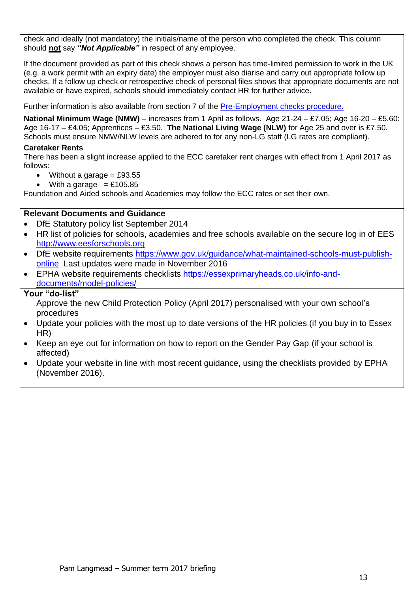check and ideally (not mandatory) the initials/name of the person who completed the check. This column should **not** say *"Not Applicable"* in respect of any employee.

If the document provided as part of this check shows a person has time-limited permission to work in the UK (e.g. a work permit with an expiry date) the employer must also diarise and carry out appropriate follow up checks. If a follow up check or retrospective check of personal files shows that appropriate documents are not available or have expired, schools should immediately contact HR for further advice.

Further information is also available from section 7 of the [Pre-Employment checks procedure.](http://www.eesforschools.org/HR/pre-employment-checks)

**National Minimum Wage (NMW)** – increases from 1 April as follows. Age 21-24 – £7.05; Age 16-20 – £5.60: Age 16-17 – £4.05; Apprentices – £3.50. **The National Living Wage (NLW)** for Age 25 and over is £7.50. Schools must ensure NMW/NLW levels are adhered to for any non-LG staff (LG rates are compliant).

#### **Caretaker Rents**

There has been a slight increase applied to the ECC caretaker rent charges with effect from 1 April 2017 as follows:

- Without a garage  $=$  £93.55
- $\bullet$  With a garage = £105.85

Foundation and Aided schools and Academies may follow the ECC rates or set their own.

### **Relevant Documents and Guidance**

- DfE Statutory policy list September 2014
- HR list of policies for schools, academies and free schools available on the secure log in of EES [http://www.eesforschools.org](http://www.eesforschools.org/)
- DfE website requirements [https://www.gov.uk/guidance/what-maintained-schools-must-publish](https://www.gov.uk/guidance/what-maintained-schools-must-publish-online)[online](https://www.gov.uk/guidance/what-maintained-schools-must-publish-online) Last updates were made in November 2016
- EPHA website requirements checklists [https://essexprimaryheads.co.uk/info-and](https://essexprimaryheads.co.uk/info-and-documents/model-policies/)[documents/model-policies/](https://essexprimaryheads.co.uk/info-and-documents/model-policies/)

#### **Your "do-list"**

Approve the new Child Protection Policy (April 2017) personalised with your own school's procedures

- Update your policies with the most up to date versions of the HR policies (if you buy in to Essex HR)
- Keep an eye out for information on how to report on the Gender Pay Gap (if your school is affected)
- Update your website in line with most recent guidance, using the checklists provided by EPHA (November 2016).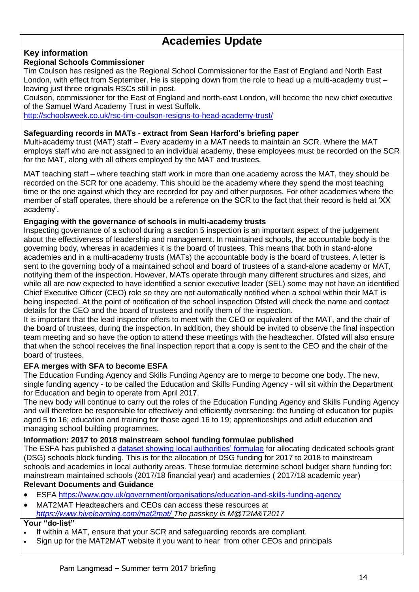# **Academies Update**

# **Key information**

### **Regional Schools Commissioner**

Tim Coulson has resigned as the Regional School Commissioner for the East of England and North East London, with effect from September. He is stepping down from the role to head up a multi-academy trust – leaving just three originals RSCs still in post.

Coulson, commissioner for the East of England and north-east London, will become the new chief executive of the Samuel Ward Academy Trust in west Suffolk.

<http://schoolsweek.co.uk/rsc-tim-coulson-resigns-to-head-academy-trust/>

#### **Safeguarding records in MATs - extract from Sean Harford's briefing paper**

Multi-academy trust (MAT) staff – Every academy in a MAT needs to maintain an SCR. Where the MAT employs staff who are not assigned to an individual academy, these employees must be recorded on the SCR for the MAT, along with all others employed by the MAT and trustees.

MAT teaching staff – where teaching staff work in more than one academy across the MAT, they should be recorded on the SCR for one academy. This should be the academy where they spend the most teaching time or the one against which they are recorded for pay and other purposes. For other academies where the member of staff operates, there should be a reference on the SCR to the fact that their record is held at 'XX academy'.

### **Engaging with the governance of schools in multi-academy trusts**

Inspecting governance of a school during a section 5 inspection is an important aspect of the judgement about the effectiveness of leadership and management. In maintained schools, the accountable body is the governing body, whereas in academies it is the board of trustees. This means that both in stand-alone academies and in a multi-academy trusts (MATs) the accountable body is the board of trustees. A letter is sent to the governing body of a maintained school and board of trustees of a stand-alone academy or MAT, notifying them of the inspection. However, MATs operate through many different structures and sizes, and while all are now expected to have identified a senior executive leader (SEL) some may not have an identified Chief Executive Officer (CEO) role so they are not automatically notified when a school within their MAT is being inspected. At the point of notification of the school inspection Ofsted will check the name and contact details for the CEO and the board of trustees and notify them of the inspection.

It is important that the lead inspector offers to meet with the CEO or equivalent of the MAT, and the chair of the board of trustees, during the inspection. In addition, they should be invited to observe the final inspection team meeting and so have the option to attend these meetings with the headteacher. Ofsted will also ensure that when the school receives the final inspection report that a copy is sent to the CEO and the chair of the board of trustees.

### **EFA merges with SFA to become ESFA**

The Education Funding Agency and Skills Funding Agency are to merge to become one body. The new, single funding agency - to be called the Education and Skills Funding Agency - will sit within the Department for Education and begin to operate from April 2017.

The new body will continue to carry out the roles of the Education Funding Agency and Skills Funding Agency and will therefore be responsible for effectively and efficiently overseeing: the funding of education for pupils aged 5 to 16; education and training for those aged 16 to 19; apprenticeships and adult education and managing school building programmes.

#### **Information: 2017 to 2018 mainstream school funding formulae published**

The ESFA has published a [dataset showing local authorities' formulae](https://www.gov.uk/guidance/schools-block-funding-formulae-2017-to-2018) for allocating dedicated schools grant (DSG) schools block funding. This is for the allocation of DSG funding for 2017 to 2018 to mainstream schools and academies in local authority areas. These formulae determine school budget share funding for: mainstream maintained schools (2017/18 financial year) and academies ( 2017/18 academic year)

# **Relevant Documents and Guidance**

- ESFA<https://www.gov.uk/government/organisations/education-and-skills-funding-agency>
- MAT2MAT Headteachers and CEOs can access these resources at *<https://www.hivelearning.com/mat2mat/> The passkey is M@T2M&T2017*

- If within a MAT, ensure that your SCR and safeguarding records are compliant.
- Sign up for the MAT2MAT website if you want to hear from other CEOs and principals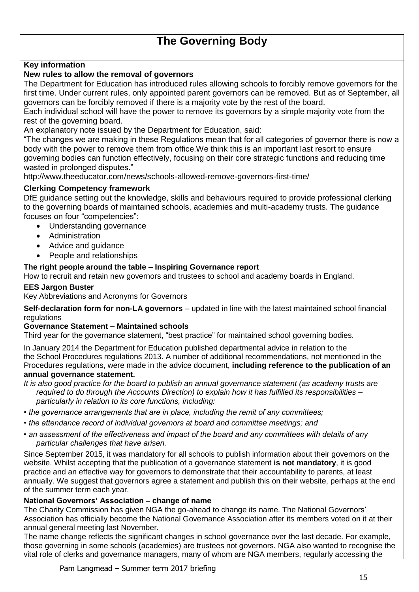# **The Governing Body**

# **Key information**

# **New rules to allow the removal of governors**

The Department for Education has introduced rules allowing schools to forcibly remove governors for the first time. Under current rules, only appointed parent governors can be removed. But as of September, all governors can be forcibly removed if there is a majority vote by the rest of the board.

Each individual school will have the power to remove its governors by a simple majority vote from the rest of the governing board.

An explanatory note issued by the Department for Education, said:

"The changes we are making in these Regulations mean that for all categories of governor there is now a body with the power to remove them from office.We think this is an important last resort to ensure governing bodies can function effectively, focusing on their core strategic functions and reducing time wasted in prolonged disputes."

http://www.theeducator.com/news/schools-allowed-remove-governors-first-time/

#### **Clerking Competency framework**

DfE guidance setting out the knowledge, skills and behaviours required to provide professional clerking to the governing boards of maintained schools, academies and multi-academy trusts. The guidance focuses on four "competencies":

- Understanding governance
- Administration
- Advice and guidance
- People and relationships

#### **The right people around the table – Inspiring Governance report**

How to recruit and retain new governors and trustees to school and academy boards in England.

#### **EES Jargon Buster**

Key Abbreviations and Acronyms for Governors

**Self-declaration form for non-LA governors** – updated in line with the latest maintained school financial regulations

#### **Governance Statement – Maintained schools**

Third year for the governance statement, "best practice" for maintained school governing bodies.

In January 2014 the Department for Education published departmental advice in relation to the the School Procedures regulations 2013. A number of additional recommendations, not mentioned in the Procedures regulations, were made in the advice document, **including reference to the publication of an annual governance statement.**

*It is also good practice for the board to publish an annual governance statement (as academy trusts are required to do through the Accounts Direction) to explain how it has fulfilled its responsibilities – particularly in relation to its core functions, including:* 

- *the governance arrangements that are in place, including the remit of any committees;*
- *the attendance record of individual governors at board and committee meetings; and*
- *an assessment of the effectiveness and impact of the board and any committees with details of any particular challenges that have arisen.*

Since September 2015, it was mandatory for all schools to publish information about their governors on the website. Whilst accepting that the publication of a governance statement **is not mandatory**, it is good practice and an effective way for governors to demonstrate that their accountability to parents, at least annually. We suggest that governors agree a statement and publish this on their website, perhaps at the end of the summer term each year.

#### **National Governors' Association – change of name**

The Charity Commission has given NGA the go-ahead to change its name. The National Governors' Association has officially become the National Governance Association after its members voted on it at their annual general meeting last November.

The name change reflects the significant changes in school governance over the last decade. For example, those governing in some schools (academies) are trustees not governors. NGA also wanted to recognise the vital role of clerks and governance managers, many of whom are NGA members, regularly accessing the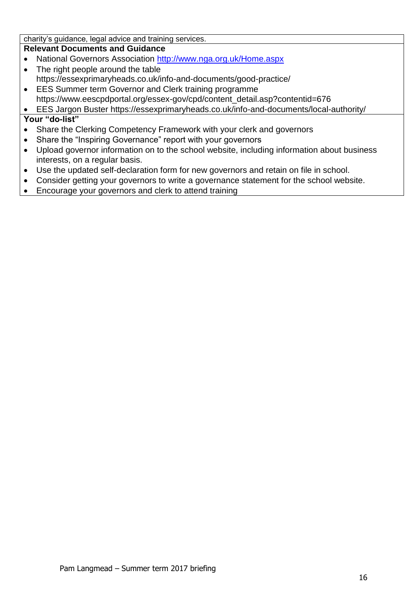charity's guidance, legal advice and training services.

### **Relevant Documents and Guidance**

- National Governors Association<http://www.nga.org.uk/Home.aspx>
- The right people around the table https://essexprimaryheads.co.uk/info-and-documents/good-practice/
- EES Summer term Governor and Clerk training programme https://www.eescpdportal.org/essex-gov/cpd/content\_detail.asp?contentid=676

EES Jargon Buster https://essexprimaryheads.co.uk/info-and-documents/local-authority/

- Share the Clerking Competency Framework with your clerk and governors
- Share the "Inspiring Governance" report with your governors
- Upload governor information on to the school website, including information about business interests, on a regular basis.
- Use the updated self-declaration form for new governors and retain on file in school.
- Consider getting your governors to write a governance statement for the school website.
- Encourage your governors and clerk to attend training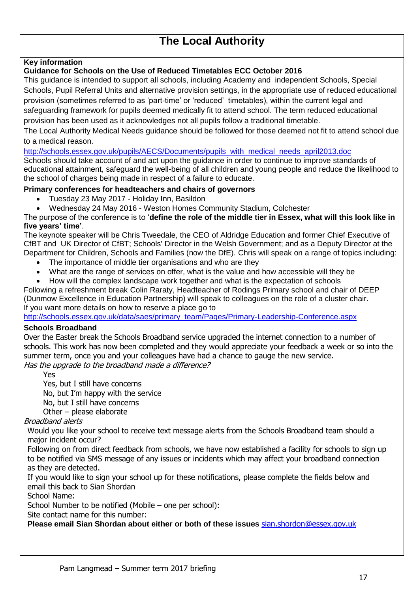# **The Local Authority**

# **Key information**

#### **Guidance for Schools on the Use of Reduced Timetables ECC October 2016**

This guidance is intended to support all schools, including Academy and independent Schools, Special Schools, Pupil Referral Units and alternative provision settings, in the appropriate use of reduced educational provision (sometimes referred to as 'part-time' or 'reduced' timetables), within the current legal and safeguarding framework for pupils deemed medically fit to attend school. The term reduced educational provision has been used as it acknowledges not all pupils follow a traditional timetable.

The Local Authority Medical Needs guidance should be followed for those deemed not fit to attend school due to a medical reason.

#### [http://schools.essex.gov.uk/pupils/AECS/Documents/pupils\\_with\\_medical\\_needs\\_april2013.doc](http://schools.essex.gov.uk/pupils/AECS/Documents/pupils_with_medical_needs_april2013.doc)

Schools should take account of and act upon the guidance in order to continue to improve standards of educational attainment, safeguard the well-being of all children and young people and reduce the likelihood to the school of charges being made in respect of a failure to educate.

### **Primary conferences for headteachers and chairs of governors**

- Tuesday 23 May 2017 Holiday Inn, Basildon
- Wednesday 24 May 2016 Weston Homes Community Stadium, Colchester

The purpose of the conference is to '**define the role of the middle tier in Essex, what will this look like in five years' time'**.

The keynote speaker will be Chris Tweedale, the CEO of Aldridge Education and former Chief Executive of CfBT and UK Director of CfBT; Schools' Director in the Welsh Government; and as a Deputy Director at the Department for Children, Schools and Families (now the DfE). Chris will speak on a range of topics including:

- The importance of middle tier organisations and who are they
- What are the range of services on offer, what is the value and how accessible will they be
- How will the complex landscape work together and what is the expectation of schools

Following a refreshment break Colin Raraty, Headteacher of Rodings Primary school and chair of DEEP (Dunmow Excellence in Education Partnership) will speak to colleagues on the role of a cluster chair. If you want more details on how to reserve a place go to

[http://schools.essex.gov.uk/data/saes/primary\\_team/Pages/Primary-Leadership-Conference.aspx](http://schools.essex.gov.uk/data/saes/primary_team/Pages/Primary-Leadership-Conference.aspx)

### **Schools Broadband**

Over the Easter break the Schools Broadband service upgraded the internet connection to a number of schools. This work has now been completed and they would appreciate your feedback a week or so into the summer term, once you and your colleagues have had a chance to gauge the new service. Has the upgrade to the broadband made a difference?

Yes

 Yes, but I still have concerns No, but I'm happy with the service No, but I still have concerns Other – please elaborate

### Broadband alerts

Would you like your school to receive text message alerts from the Schools Broadband team should a major incident occur?

Following on from direct feedback from schools, we have now established a facility for schools to sign up to be notified via SMS message of any issues or incidents which may affect your broadband connection as they are detected.

If you would like to sign your school up for these notifications, please complete the fields below and email this back to Sian Shordan

School Name:

School Number to be notified (Mobile – one per school):

Site contact name for this number:

**Please email Sian Shordan about either or both of these issues** [sian.shordon@essex.gov.uk](mailto:sian.shordon@essex.gov.uk)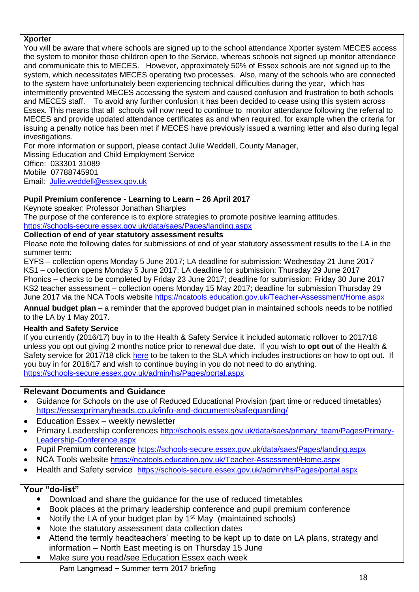#### **Xporter**

You will be aware that where schools are signed up to the school attendance Xporter system MECES access the system to monitor those children open to the Service, whereas schools not signed up monitor attendance and communicate this to MECES. However, approximately 50% of Essex schools are not signed up to the system, which necessitates MECES operating two processes. Also, many of the schools who are connected to the system have unfortunately been experiencing technical difficulties during the year, which has intermittently prevented MECES accessing the system and caused confusion and frustration to both schools and MECES staff. To avoid any further confusion it has been decided to cease using this system across Essex. This means that all schools will now need to continue to monitor attendance following the referral to MECES and provide updated attendance certificates as and when required, for example when the criteria for issuing a penalty notice has been met if MECES have previously issued a warning letter and also during legal investigations.

For more information or support, please contact Julie Weddell, County Manager,

Missing Education and Child Employment Service

Office: 033301 31089

Mobile 07788745901

Email: [Julie.weddell@essex.gov.uk](mailto:Julie.weddell@essex.gov.uk)

# **Pupil Premium conference - Learning to Learn – 26 April 2017**

Keynote speaker: Professor Jonathan Sharples

The purpose of the conference is to explore strategies to promote positive learning attitudes. <https://schools-secure.essex.gov.uk/data/saes/Pages/landing.aspx>

### **Collection of end of year statutory assessment results**

Please note the following dates for submissions of end of year statutory assessment results to the LA in the summer term:

EYFS – collection opens Monday 5 June 2017; LA deadline for submission: Wednesday 21 June 2017 KS1 – collection opens Monday 5 June 2017; LA deadline for submission: Thursday 29 June 2017 Phonics – checks to be completed by Friday 23 June 2017; deadline for submission: Friday 30 June 2017 KS2 teacher assessment – collection opens Monday 15 May 2017; deadline for submission Thursday 29 June 2017 via the NCA Tools website<https://ncatools.education.gov.uk/Teacher-Assessment/Home.aspx>

**Annual budget plan** – a reminder that the approved budget plan in maintained schools needs to be notified to the LA by 1 May 2017.

### **Health and Safety Service**

If you currently (2016/17) buy in to the Health & Safety Service it included automatic rollover to 2017/18 unless you opt out giving 2 months notice prior to renewal due date. If you wish to **opt out** of the Health & Safety service for 2017/18 click [here](https://schools-secure.essex.gov.uk/admin/hs/Documents/SLA_2017_Full%20Pack%20-%20Final.docx) to be taken to the SLA which includes instructions on how to opt out. If you buy in for 2016/17 and wish to continue buying in you do not need to do anything. <https://schools-secure.essex.gov.uk/admin/hs/Pages/portal.aspx>

### **Relevant Documents and Guidance**

- Guidance for Schools on the use of Reduced Educational Provision (part time or reduced timetables) <https://essexprimaryheads.co.uk/info-and-documents/safeguarding/>
- Education Essex weekly newsletter
- Primary Leadership conferences [http://schools.essex.gov.uk/data/saes/primary\\_team/Pages/Primary-](http://schools.essex.gov.uk/data/saes/primary_team/Pages/Primary-Leadership-Conference.aspx)[Leadership-Conference.aspx](http://schools.essex.gov.uk/data/saes/primary_team/Pages/Primary-Leadership-Conference.aspx)
- Pupil Premium conference <https://schools-secure.essex.gov.uk/data/saes/Pages/landing.aspx>
- NCA Tools website <https://ncatools.education.gov.uk/Teacher-Assessment/Home.aspx>
- Health and Safety service <https://schools-secure.essex.gov.uk/admin/hs/Pages/portal.aspx>

- Download and share the guidance for the use of reduced timetables
- Book places at the primary leadership conference and pupil premium conference
- Notify the LA of your budget plan by  $1<sup>st</sup>$  May (maintained schools)
- Note the statutory assessment data collection dates
- Attend the termly headteachers' meeting to be kept up to date on LA plans, strategy and information – North East meeting is on Thursday 15 June
- Make sure you read/see Education Essex each week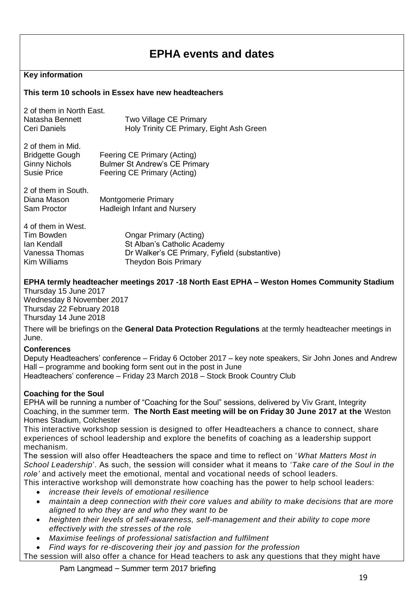# **EPHA events and dates**

### **Key information**

#### **This term 10 schools in Essex have new headteachers**

| 2 of them in North East. |                                          |
|--------------------------|------------------------------------------|
| Natasha Bennett          | Two Village CE Primary                   |
| Ceri Daniels             | Holy Trinity CE Primary, Eight Ash Green |

| 2 of them in Mid.      |                                      |
|------------------------|--------------------------------------|
| <b>Bridgette Gough</b> | Feering CE Primary (Acting)          |
| <b>Ginny Nichols</b>   | <b>Bulmer St Andrew's CE Primary</b> |
| Susie Price            | Feering CE Primary (Acting)          |

| 2 of them in South. |                                    |
|---------------------|------------------------------------|
| Diana Mason         | Montgomerie Primary                |
| Sam Proctor         | <b>Hadleigh Infant and Nursery</b> |

| <b>Ongar Primary (Acting)</b>                 |
|-----------------------------------------------|
| St Alban's Catholic Academy                   |
| Dr Walker's CE Primary, Fyfield (substantive) |
| <b>Theydon Bois Primary</b>                   |
|                                               |

#### **EPHA termly headteacher meetings 2017 -18 North East EPHA – Weston Homes Community Stadium**

Thursday 15 June 2017 Wednesday 8 November 2017 Thursday 22 February 2018 Thursday 14 June 2018

There will be briefings on the **General Data Protection Regulations** at the termly headteacher meetings in June.

#### **Conferences**

Deputy Headteachers' conference – Friday 6 October 2017 – key note speakers, Sir John Jones and Andrew Hall – programme and booking form sent out in the post in June Headteachers' conference – Friday 23 March 2018 – Stock Brook Country Club

#### **Coaching for the Soul**

EPHA will be running a number of "Coaching for the Soul" sessions, delivered by Viv Grant, Integrity Coaching, in the summer term. **The North East meeting will be on Friday 30 June 2017 at the** Weston Homes Stadium, Colchester

This interactive workshop session is designed to offer Headteachers a chance to connect, share experiences of school leadership and explore the benefits of coaching as a leadership support mechanism.

The session will also offer Headteachers the space and time to reflect on '*What Matters Most in School Leadership*'. As such, the session will consider what it means to '*Take care of the Soul in the role'* and actively meet the emotional, mental and vocational needs of school leaders.

This interactive workshop will demonstrate how coaching has the power to help school leaders:

- *increase their levels of emotional resilience*
- *maintain a deep connection with their core values and ability to make decisions that are more aligned to who they are and who they want to be*
- *heighten their levels of self-awareness, self-management and their ability to cope more effectively with the stresses of the role*
- *Maximise feelings of professional satisfaction and fulfilment*
- *Find ways for re-discovering their joy and passion for the profession*

The session will also offer a chance for Head teachers to ask any questions that they might have